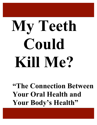# **My Teeth Could Kill Me?**

**"The Connection Between Your Oral Health and Your Body's Health"**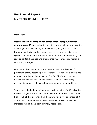## **Re: Special Report My Teeth Could Kill Me?**

Dear Friend,

**Regular tooth cleanings with periodontal therapy just might prolong your life**, according to the latest research by dental experts. As strange as it may sound, an infection in your gums can travel through your body to other organs, such as your heart, digestive system, and lungs. This is why it's more important than ever to go for regular dental check-ups and ensure that your periodontal health is constantly managed.

Periodontal disease and poor oral hygiene may be indicators of premature death, according to Dr. Michael F. Roizen in his classic book *Real Age: Are You as Young as You Can Be?* That's because gum disease has been linked to heart disease, diabetes, respiratory disease, digestive problems, osteoporosis, and immune problems.

Young men who had a maximum oral hygiene index of 6 (0 indicating ideal oral hygiene and 6 poor oral hygiene) had a three to four times higher risk of dying sooner than those who had a hygiene index of 0. In addition, young men with periodontitis had a nearly three fold increased risk of dying from coronary heart disease.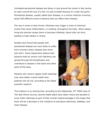Untreated periodontal disease and decay in and around the mouth is like having an open wound the size of a fist; it's just invisible because it's under the gums. Periodontal disease, usually called Gum Disease, is a chronic infection involving about 500 different kinds of bacteria that can affect heart disease.

The way it works is that chronic infections may trigger a chain of chemical events that cause inflammation, or swelling, throughout the body. When plaque lining the arteries causes them to becomes inflamed, blood clots can form, leading to heart attack or stroke.

Studies have found that people with periodontal disease are more likely to suffer from coronary artery disease than those who don't. Some researchers believe that bacteria shed by chronic oral infections can spread through the bloodstream and contribute to disease in the heart and other parts of the body.

Patients who receive regular tooth cleanings may have better overall health than patients who do not, according to the latest scientific research.



The evidence is so striking that, according to the September  $19<sup>th</sup>$  2006 issue of *The Wall Street Journal*, several health plans have taken notice and decided to cover tooth cleanings as part of their overall medical package in the hopes that there will be a decrease in the incidence of premature deliveries, diabetes, and heart disease.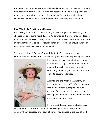Common signs of gum disease include bleeding gums or pus between the teeth. Left untreated, this chronic infection can destroy the bone that supports the teeth and may lead to tooth loss. Those at risk for cardiovascular disease should consult with a dentist for a periodontal screening and evaluation.

#### **Say "Ahhh" to Avoid Heart Disease**

By allowing your dentist to treat your gum disease, you are decreasing your chances for developing heart disease. As strange as it may sound, an infection in your gums can travel through your body to your heart. This is why it's more important than ever to go for regular dental check-ups and ensure that your periodontal health is constantly managed.

The word *periodontal* means "around the tooth." Periodontal disease is a chronic bacterial infection that affects the gums and bone supporting the teeth.



Periodontal disease can affect one tooth or many teeth. It begins when the bacteria in plaque (the sticky, colorless film that constantly forms on your teeth) causes the gums to become inflamed.

According to the American Academy of Periodontology, up to 30% of the population may be genetically susceptible to gum disease. Despite aggressive oral care habits, these people may be six times more likely to develop periodontal disease.

For the past decade, several studies have

concluded that there is a strong link between periodontal disease and coronary heart disease. One result of periodontal disease is the loss of teeth.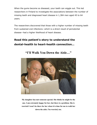When the gums become so diseased, your teeth can wiggle out. This led researchers in Finland to investigate the associations between the number of missing teeth and diagnosed heart disease in 1,384 men aged 45 to 64 years.

The researchers discovered that those with a higher number of missing teeth from sustained oral infections--which is a direct result of periodontal disease--had a higher likelihood of heart disease.

# **Read this patient's story to understand the dental-health to heart-health connection…**

**"I'll Walk You Down the Aisle…"**



**My daughter has met someone special. She thinks he might be the one. I am extremely happy for her, but there is a problem. She is worried I won't be there for her when it is time for me to walk her down the aisle. I'm worried, too.**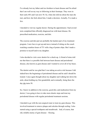I've already lost my father and two brothers to heart disease and I'm afraid that I am well on my way to following in their footsteps. They were in their early 60's and I am now 58. So, when she told me about the man she met, and how she feels about him, I made a decision. Actually, I've made a few.

I decided to visit my regular doctor. During the appointment, I had several tests completed that officially diagnosed me with heart disease. He prescribed medication, exercise, and diet.

The exercise and diet part are probably the hardest part of my treatment program. I now have to get up and move instead of sitting on the couch watching countless hours of TV with a bag of potato chips. But I made a promise to myself and to my daughter.

I also decided to visit a new dentist for a check-up. A friend of mine told me that there is a possible link between heart disease and periodontal disease, also known as gum disease and I wanted to cover all of my bases.

The dentist said he was glad that I was taking an active role because I did indeed have the beginnings of periodontal disease and he said I should be treated. I once again thought about my daughter and walking her down the aisle, about holding my first grandchild, and eventually, being there the day she turns 58.

So, I knew in addition to the exercise, good diet, and medication from my doctor, I was going to have to take more drastic steps and treat my periodontal disease with regular periodontal treatment sessions.

I decided to go with the non-surgical route to treat my gum disease. This involved treatment to remove plaque and calculus through scaling. I also started using a special toothpaste and mouthwash. And, of course, that old, reliable enemy of gum disease – flossing.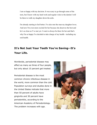I am so happy with my decision. It was scary to go through some of the tests, but I know with my hard work and regular visits to the dentist I will be there to walk my daughter down the aisle.

I'm already starting to feel better. I've also met the man my daughter loves. And now I'm even more excited for her because she deserves the best and he's as close as I've met yet. I want to always be there for her and that's why I'm so happy I've decided to take charge of my health - including my oral health.

## **It's Not Just Your Teeth You're Saving--It's Your Life.**

Worldwide, periodontal disease may affect as many as three of four people, but only about 15 percent get treated.

Periodontal disease is the most common chronic infectious disease in the world, more common than the cold. Population surveys and studies done in the United States indicate that more than 50 percent of adults have gingivitis and 30 percent have periodontitis, according to the American Academy of Periodontology. The problem increases with age.

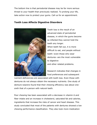The bottom line is that periodontal disease may be far more serious threat to your health than previously realized. To prolong your life, take action now to protect your gums. Call us for an appointment.

#### **Tooth Loss Affects Digestive Disorders**



Tooth loss is the result of an advanced state of periodontal disease, in which the gums become so infected they cannot hold the teeth any longer. When teeth fall out, it is more difficult to eat, and people without teeth--even those who wear dentures--are the most vulnerable to digestive and other related problems.

Research indicates that changes in food preferences and subsequent

nutrient deficiencies are associated with tooth loss. Even those with dentures do not always obtain the necessary nutrients. One study of denture-wearers found that their chewing efficiency was about onesixth that of a person with natural teeth.

Poor chewing has been associated with a decrease in vitamin A and fiber intake and an increase in cholesterol, saturated fat and calories, ingredients that increase the risks of cancer and heart disease. This study concluded that most of the patients with dentures showed a low chewing performance classification. They also took more medication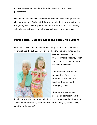for gastrointestinal disorders than those with a higher chewing performance.

One way to prevent this escalation of problems is to have your teeth cleaned regularly. Periodontal therapy will eliminate any infections in the gums, which will help you keep your teeth for life. This, in turn, will help you eat better, look better, feel better, and live longer.

## **Periodontal Disease Stresses Immune System**

Periodontal disease is an infection of the gums that not only affects your oral health, but also your overall health. The periodontal pocket



acts as a reservoir for numerous toxic bacteria, which can create an added stress to the immune system.

Gum infections can have a devastating effect on the immune system because it involves the gums and underlying bone.

The immune system can become so compromised that

its ability to resist additional infections and toxins could be diminished. A weakened immune system puts the various body systems at risk, creating a domino effect.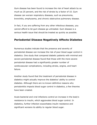Gum disease has been found to increase the risk of heart attack by as much as 25 percent, and the risk of stroke by a factor of 10. Gum disease can worsen respiratory diseases, such as pneumonia, bronchitis, emphysema, and chronic obstructive pulmonary disease.

In fact, if you are suffering from any other infectious diseases, you cannot afford to let gum disease go untreated. Gum disease is a serious health issue that should be treated as quickly as possible.

### **Periodontal Disease Negatively Affects Diabetes**

Numerous studies indicate that the presence and severity of periodontal disease can increase the risk of poor blood sugar control in diabetics. One study that compared diabetic patients with minimal and severe periodontal disease found that those with the more severe periodontal disease had a significantly greater number of cardiovascular complications, including stroke, angina, and heart failure.

Another study found that the treatment of periodontal disease in diabetics might actually improve the diabetics' ability to control diabetes. Although there are no known definitive reasons why periodontitis impacts blood sugar control in diabetics, a few theories have been created.

Acute bacterial and viral infections control an increase in the body's resistance to insulin, which aggravates blood sugar control. In diabetics, further infection exacerbates insulin resistance and significant worsens its ability to regular blood sugar.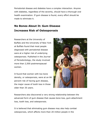Periodontal disease and diabetes have a complex interaction. Anyone with diabetes, regardless of the severity, should have a thorough oral health examination. If gum disease is found, every effort should be made to eliminate it.

# **No Bones About It: Gum Disease Increases Risk of Osteoporosis**

Researchers at the University of Buffalo and the University of New York at Buffalo found that most people diagnosed with periodontal disease were at a higher risk of underlying osteoporosis. Published in the *Journal of Periodontology*, the study involved more than 2,500 postmenopausal women.

It found that women with low bone density, or osteoporosis, were at an 86 percent risk of having gum disease, the major cause of tooth loss in those older than 35 years.



Researchers also discovered a very strong relationship between the advanced form of gum disease that causes bone loss, gum-attachment loss, tooth loss, and osteoporosis.

It is believed that eliminating gum disease may also help combat osteoporosis, which affects more than 20 million people in the